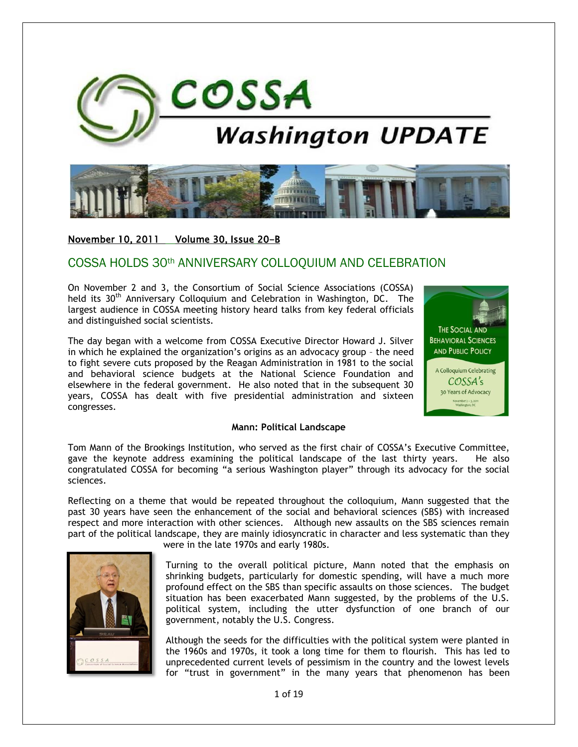



November 10, 2011 Volume 30, Issue 20-B

# COSSA HOLDS 30th ANNIVERSARY COLLOQUIUM AND CELEBRATION

On November 2 and 3, the Consortium of Social Science Associations (COSSA) held its 30<sup>th</sup> Anniversary Colloquium and Celebration in Washington, DC. The largest audience in COSSA meeting history heard talks from key federal officials and distinguished social scientists.

The day began with a welcome from COSSA Executive Director Howard J. Silver in which he explained the organization's origins as an advocacy group – the need to fight severe cuts proposed by the Reagan Administration in 1981 to the social and behavioral science budgets at the National Science Foundation and elsewhere in the federal government. He also noted that in the subsequent 30 years, COSSA has dealt with five presidential administration and sixteen congresses.



#### **Mann: Political Landscape**

Tom Mann of the Brookings Institution, who served as the first chair of COSSA's Executive Committee, gave the keynote address examining the political landscape of the last thirty years. He also congratulated COSSA for becoming "a serious Washington player" through its advocacy for the social sciences.

Reflecting on a theme that would be repeated throughout the colloquium, Mann suggested that the past 30 years have seen the enhancement of the social and behavioral sciences (SBS) with increased respect and more interaction with other sciences. Although new assaults on the SBS sciences remain part of the political landscape, they are mainly idiosyncratic in character and less systematic than they



were in the late 1970s and early 1980s.

Turning to the overall political picture, Mann noted that the emphasis on shrinking budgets, particularly for domestic spending, will have a much more profound effect on the SBS than specific assaults on those sciences. The budget situation has been exacerbated Mann suggested, by the problems of the U.S. political system, including the utter dysfunction of one branch of our government, notably the U.S. Congress.

Although the seeds for the difficulties with the political system were planted in the 1960s and 1970s, it took a long time for them to flourish. This has led to unprecedented current levels of pessimism in the country and the lowest levels for "trust in government" in the many years that phenomenon has been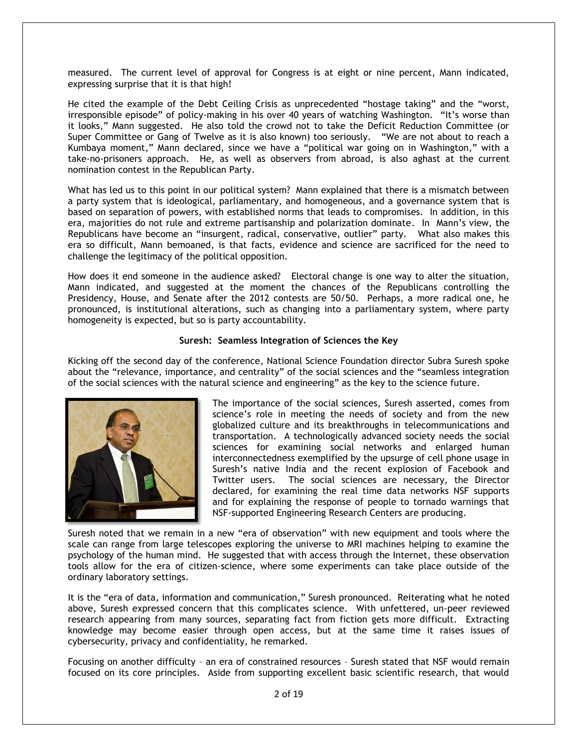measured. The current level of approval for Congress is at eight or nine percent, Mann indicated, expressing surprise that it is that high!

He cited the example of the Debt Ceiling Crisis as unprecedented "hostage taking" and the "worst, irresponsible episode" of policy-making in his over 40 years of watching Washington. "It's worse than it looks," Mann suggested. He also told the crowd not to take the Deficit Reduction Committee (or Super Committee or Gang of Twelve as it is also known) too seriously. ―We are not about to reach a Kumbaya moment," Mann declared, since we have a "political war going on in Washington," with a take-no-prisoners approach. He, as well as observers from abroad, is also aghast at the current nomination contest in the Republican Party.

What has led us to this point in our political system? Mann explained that there is a mismatch between a party system that is ideological, parliamentary, and homogeneous, and a governance system that is based on separation of powers, with established norms that leads to compromises. In addition, in this era, majorities do not rule and extreme partisanship and polarization dominate. In Mann's view, the Republicans have become an "insurgent, radical, conservative, outlier" party. What also makes this era so difficult, Mann bemoaned, is that facts, evidence and science are sacrificed for the need to challenge the legitimacy of the political opposition.

How does it end someone in the audience asked? Electoral change is one way to alter the situation, Mann indicated, and suggested at the moment the chances of the Republicans controlling the Presidency, House, and Senate after the 2012 contests are 50/50. Perhaps, a more radical one, he pronounced, is institutional alterations, such as changing into a parliamentary system, where party homogeneity is expected, but so is party accountability.

# **Suresh: Seamless Integration of Sciences the Key**

Kicking off the second day of the conference, National Science Foundation director Subra Suresh spoke about the "relevance, importance, and centrality" of the social sciences and the "seamless integration of the social sciences with the natural science and engineering" as the key to the science future.



The importance of the social sciences, Suresh asserted, comes from science's role in meeting the needs of society and from the new globalized culture and its breakthroughs in telecommunications and transportation. A technologically advanced society needs the social sciences for examining social networks and enlarged human interconnectedness exemplified by the upsurge of cell phone usage in Suresh's native India and the recent explosion of Facebook and Twitter users. The social sciences are necessary, the Director declared, for examining the real time data networks NSF supports and for explaining the response of people to tornado warnings that NSF-supported Engineering Research Centers are producing.

Suresh noted that we remain in a new "era of observation" with new equipment and tools where the scale can range from large telescopes exploring the universe to MRI machines helping to examine the psychology of the human mind. He suggested that with access through the Internet, these observation tools allow for the era of citizen-science, where some experiments can take place outside of the ordinary laboratory settings.

It is the "era of data, information and communication," Suresh pronounced. Reiterating what he noted above, Suresh expressed concern that this complicates science. With unfettered, un-peer reviewed research appearing from many sources, separating fact from fiction gets more difficult. Extracting knowledge may become easier through open access, but at the same time it raises issues of cybersecurity, privacy and confidentiality, he remarked.

Focusing on another difficulty – an era of constrained resources – Suresh stated that NSF would remain focused on its core principles. Aside from supporting excellent basic scientific research, that would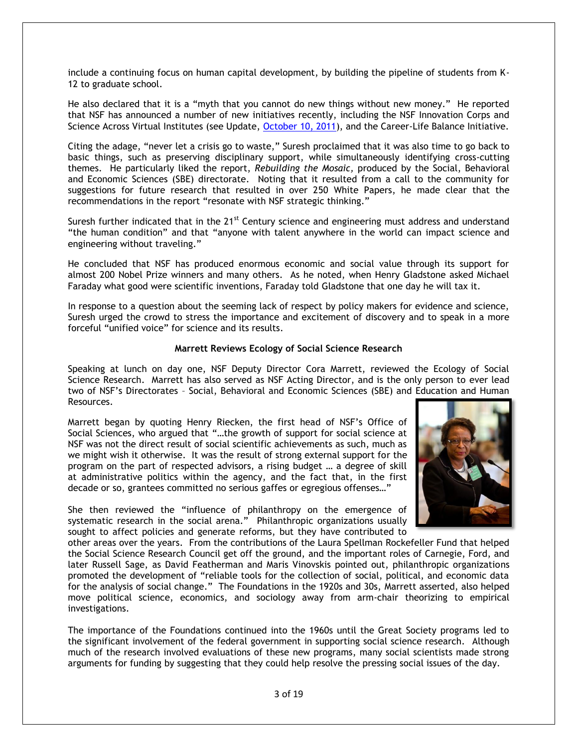include a continuing focus on human capital development, by building the pipeline of students from K-12 to graduate school.

He also declared that it is a "myth that you cannot do new things without new money." He reported that NSF has announced a number of new initiatives recently, including the NSF Innovation Corps and Science Across Virtual Institutes (see Update, October 10, 2011), and the Career-Life Balance Initiative.

Citing the adage, "never let a crisis go to waste," Suresh proclaimed that it was also time to go back to basic things, such as preserving disciplinary support, while simultaneously identifying cross-cutting themes. He particularly liked the report, *Rebuilding the Mosaic,* produced by the Social, Behavioral and Economic Sciences (SBE) directorate. Noting that it resulted from a call to the community for suggestions for future research that resulted in over 250 White Papers, he made clear that the recommendations in the report "resonate with NSF strategic thinking."

Suresh further indicated that in the 21<sup>st</sup> Century science and engineering must address and understand "the human condition" and that "anyone with talent anywhere in the world can impact science and engineering without traveling."

He concluded that NSF has produced enormous economic and social value through its support for almost 200 Nobel Prize winners and many others. As he noted, when Henry Gladstone asked Michael Faraday what good were scientific inventions, Faraday told Gladstone that one day he will tax it.

In response to a question about the seeming lack of respect by policy makers for evidence and science, Suresh urged the crowd to stress the importance and excitement of discovery and to speak in a more forceful "unified voice" for science and its results.

### **Marrett Reviews Ecology of Social Science Research**

Speaking at lunch on day one, NSF Deputy Director Cora Marrett, reviewed the Ecology of Social Science Research. Marrett has also served as NSF Acting Director, and is the only person to ever lead two of NSF's Directorates – Social, Behavioral and Economic Sciences (SBE) and Education and Human Resources.

Marrett began by quoting Henry Riecken, the first head of NSF's Office of Social Sciences, who argued that "...the growth of support for social science at NSF was not the direct result of social scientific achievements as such, much as we might wish it otherwise. It was the result of strong external support for the program on the part of respected advisors, a rising budget … a degree of skill at administrative politics within the agency, and the fact that, in the first decade or so, grantees committed no serious gaffes or egregious offenses..."

She then reviewed the "influence of philanthropy on the emergence of systematic research in the social arena." Philanthropic organizations usually sought to affect policies and generate reforms, but they have contributed to



other areas over the years. From the contributions of the Laura Spellman Rockefeller Fund that helped the Social Science Research Council get off the ground, and the important roles of Carnegie, Ford, and later Russell Sage, as David Featherman and Maris Vinovskis pointed out, philanthropic organizations promoted the development of "reliable tools for the collection of social, political, and economic data for the analysis of social change." The Foundations in the 1920s and 30s, Marrett asserted, also helped move political science, economics, and sociology away from arm-chair theorizing to empirical investigations.

The importance of the Foundations continued into the 1960s until the Great Society programs led to the significant involvement of the federal government in supporting social science research. Although much of the research involved evaluations of these new programs, many social scientists made strong arguments for funding by suggesting that they could help resolve the pressing social issues of the day.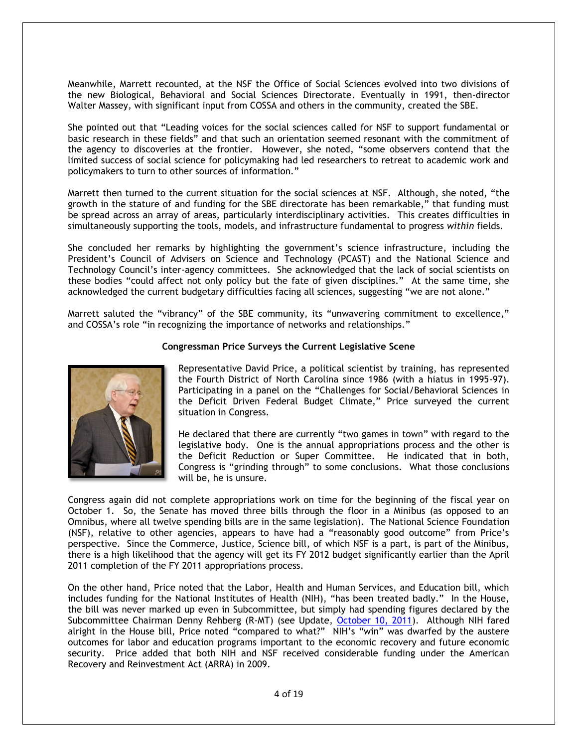Meanwhile, Marrett recounted, at the NSF the Office of Social Sciences evolved into two divisions of the new Biological, Behavioral and Social Sciences Directorate. Eventually in 1991, then-director Walter Massey, with significant input from COSSA and others in the community, created the SBE.

She pointed out that "Leading voices for the social sciences called for NSF to support fundamental or basic research in these fields" and that such an orientation seemed resonant with the commitment of the agency to discoveries at the frontier. However, she noted, "some observers contend that the limited success of social science for policymaking had led researchers to retreat to academic work and policymakers to turn to other sources of information."

Marrett then turned to the current situation for the social sciences at NSF. Although, she noted, "the growth in the stature of and funding for the SBE directorate has been remarkable," that funding must be spread across an array of areas, particularly interdisciplinary activities. This creates difficulties in simultaneously supporting the tools, models, and infrastructure fundamental to progress *within* fields.

She concluded her remarks by highlighting the government's science infrastructure, including the President's Council of Advisers on Science and Technology (PCAST) and the National Science and Technology Council's inter-agency committees. She acknowledged that the lack of social scientists on these bodies "could affect not only policy but the fate of given disciplines." At the same time, she acknowledged the current budgetary difficulties facing all sciences, suggesting "we are not alone."

Marrett saluted the "vibrancy" of the SBE community, its "unwavering commitment to excellence," and COSSA's role "in recognizing the importance of networks and relationships."



# **Congressman Price Surveys the Current Legislative Scene**

Representative David Price, a political scientist by training, has represented the Fourth District of North Carolina since 1986 (with a hiatus in 1995-97). Participating in a panel on the "Challenges for Social/Behavioral Sciences in the Deficit Driven Federal Budget Climate," Price surveyed the current situation in Congress.

He declared that there are currently "two games in town" with regard to the legislative body. One is the annual appropriations process and the other is the Deficit Reduction or Super Committee. He indicated that in both, Congress is "grinding through" to some conclusions. What those conclusions will be, he is unsure.

Congress again did not complete appropriations work on time for the beginning of the fiscal year on October 1. So, the Senate has moved three bills through the floor in a Minibus (as opposed to an Omnibus, where all twelve spending bills are in the same legislation). The National Science Foundation (NSF), relative to other agencies, appears to have had a "reasonably good outcome" from Price's perspective. Since the Commerce, Justice, Science bill, of which NSF is a part, is part of the Minibus, there is a high likelihood that the agency will get its FY 2012 budget significantly earlier than the April 2011 completion of the FY 2011 appropriations process.

On the other hand, Price noted that the Labor, Health and Human Services, and Education bill, which includes funding for the National Institutes of Health (NIH), "has been treated badly." In the House, the bill was never marked up even in Subcommittee, but simply had spending figures declared by the Subcommittee Chairman Denny Rehberg (R-MT) (see Update, October 10, 2011). Although NIH fared alright in the House bill, Price noted "compared to what?" NIH's "win" was dwarfed by the austere outcomes for labor and education programs important to the economic recovery and future economic security. Price added that both NIH and NSF received considerable funding under the American Recovery and Reinvestment Act (ARRA) in 2009.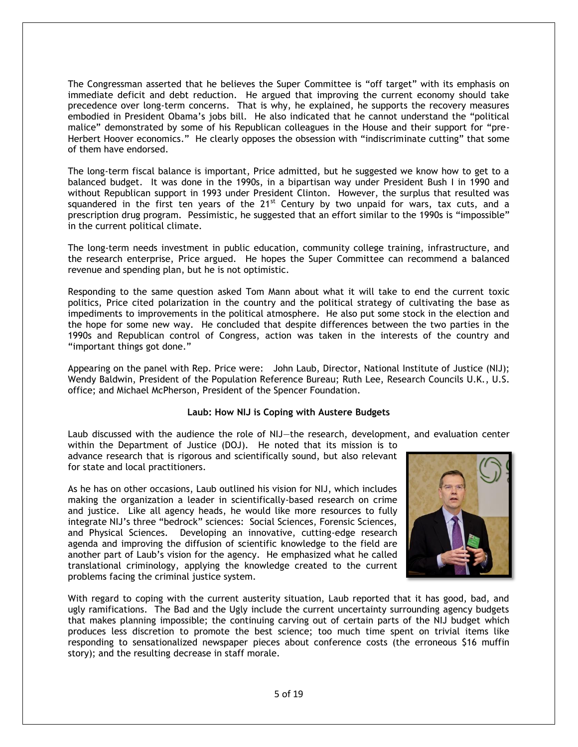The Congressman asserted that he believes the Super Committee is "off target" with its emphasis on immediate deficit and debt reduction. He argued that improving the current economy should take precedence over long-term concerns. That is why, he explained, he supports the recovery measures embodied in President Obama's jobs bill. He also indicated that he cannot understand the "political malice" demonstrated by some of his Republican colleagues in the House and their support for "pre-Herbert Hoover economics." He clearly opposes the obsession with "indiscriminate cutting" that some of them have endorsed.

The long-term fiscal balance is important, Price admitted, but he suggested we know how to get to a balanced budget. It was done in the 1990s, in a bipartisan way under President Bush I in 1990 and without Republican support in 1993 under President Clinton. However, the surplus that resulted was squandered in the first ten years of the  $21^{st}$  Century by two unpaid for wars, tax cuts, and a prescription drug program. Pessimistic, he suggested that an effort similar to the 1990s is "impossible" in the current political climate.

The long-term needs investment in public education, community college training, infrastructure, and the research enterprise, Price argued. He hopes the Super Committee can recommend a balanced revenue and spending plan, but he is not optimistic.

Responding to the same question asked Tom Mann about what it will take to end the current toxic politics, Price cited polarization in the country and the political strategy of cultivating the base as impediments to improvements in the political atmosphere. He also put some stock in the election and the hope for some new way. He concluded that despite differences between the two parties in the 1990s and Republican control of Congress, action was taken in the interests of the country and "important things got done."

Appearing on the panel with Rep. Price were: John Laub, Director, National Institute of Justice (NIJ); Wendy Baldwin, President of the Population Reference Bureau; Ruth Lee, Research Councils U.K., U.S. office; and Michael McPherson, President of the Spencer Foundation.

### **Laub: How NIJ is Coping with Austere Budgets**

Laub discussed with the audience the role of NIJ—the research, development, and evaluation center

within the Department of Justice (DOJ). He noted that its mission is to advance research that is rigorous and scientifically sound, but also relevant for state and local practitioners.

As he has on other occasions, Laub outlined his vision for NIJ, which includes making the organization a leader in scientifically-based research on crime and justice. Like all agency heads, he would like more resources to fully integrate NIJ's three "bedrock" sciences: Social Sciences, Forensic Sciences, and Physical Sciences. Developing an innovative, cutting-edge research agenda and improving the diffusion of scientific knowledge to the field are another part of Laub's vision for the agency. He emphasized what he called translational criminology, applying the knowledge created to the current problems facing the criminal justice system.



With regard to coping with the current austerity situation, Laub reported that it has good, bad, and ugly ramifications. The Bad and the Ugly include the current uncertainty surrounding agency budgets that makes planning impossible; the continuing carving out of certain parts of the NIJ budget which produces less discretion to promote the best science; too much time spent on trivial items like responding to sensationalized newspaper pieces about conference costs (the erroneous \$16 muffin story); and the resulting decrease in staff morale.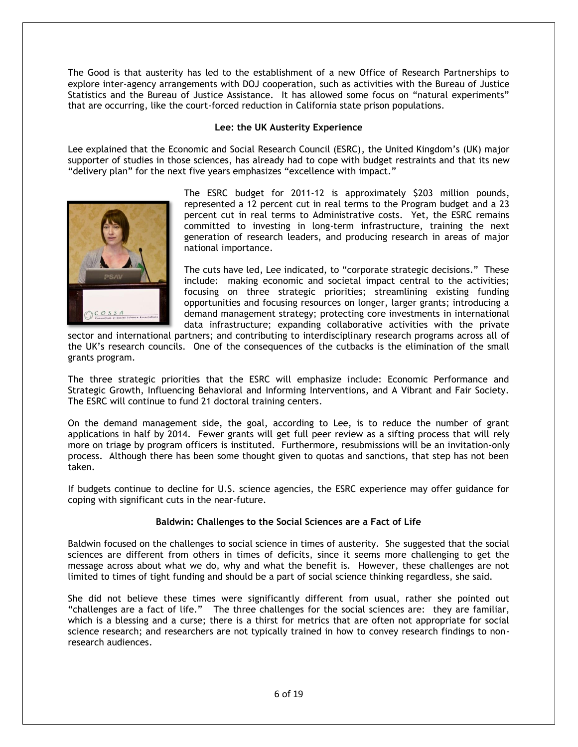The Good is that austerity has led to the establishment of a new Office of Research Partnerships to explore inter-agency arrangements with DOJ cooperation, such as activities with the Bureau of Justice Statistics and the Bureau of Justice Assistance. It has allowed some focus on "natural experiments" that are occurring, like the court-forced reduction in California state prison populations.

# **Lee: the UK Austerity Experience**

Lee explained that the Economic and Social Research Council (ESRC), the United Kingdom's (UK) major supporter of studies in those sciences, has already had to cope with budget restraints and that its new "delivery plan" for the next five years emphasizes "excellence with impact."



The ESRC budget for 2011-12 is approximately \$203 million pounds, represented a 12 percent cut in real terms to the Program budget and a 23 percent cut in real terms to Administrative costs. Yet, the ESRC remains committed to investing in long-term infrastructure, training the next generation of research leaders, and producing research in areas of major national importance.

The cuts have led, Lee indicated, to "corporate strategic decisions." These include: making economic and societal impact central to the activities; focusing on three strategic priorities; streamlining existing funding opportunities and focusing resources on longer, larger grants; introducing a demand management strategy; protecting core investments in international data infrastructure; expanding collaborative activities with the private

sector and international partners; and contributing to interdisciplinary research programs across all of the UK's research councils. One of the consequences of the cutbacks is the elimination of the small grants program.

The three strategic priorities that the ESRC will emphasize include: Economic Performance and Strategic Growth, Influencing Behavioral and Informing Interventions, and A Vibrant and Fair Society. The ESRC will continue to fund 21 doctoral training centers.

On the demand management side, the goal, according to Lee, is to reduce the number of grant applications in half by 2014. Fewer grants will get full peer review as a sifting process that will rely more on triage by program officers is instituted. Furthermore, resubmissions will be an invitation-only process. Although there has been some thought given to quotas and sanctions, that step has not been taken.

If budgets continue to decline for U.S. science agencies, the ESRC experience may offer guidance for coping with significant cuts in the near-future.

# **Baldwin: Challenges to the Social Sciences are a Fact of Life**

Baldwin focused on the challenges to social science in times of austerity. She suggested that the social sciences are different from others in times of deficits, since it seems more challenging to get the message across about what we do, why and what the benefit is. However, these challenges are not limited to times of tight funding and should be a part of social science thinking regardless, she said.

She did not believe these times were significantly different from usual, rather she pointed out ―challenges are a fact of life.‖ The three challenges for the social sciences are: they are familiar, which is a blessing and a curse; there is a thirst for metrics that are often not appropriate for social science research; and researchers are not typically trained in how to convey research findings to nonresearch audiences.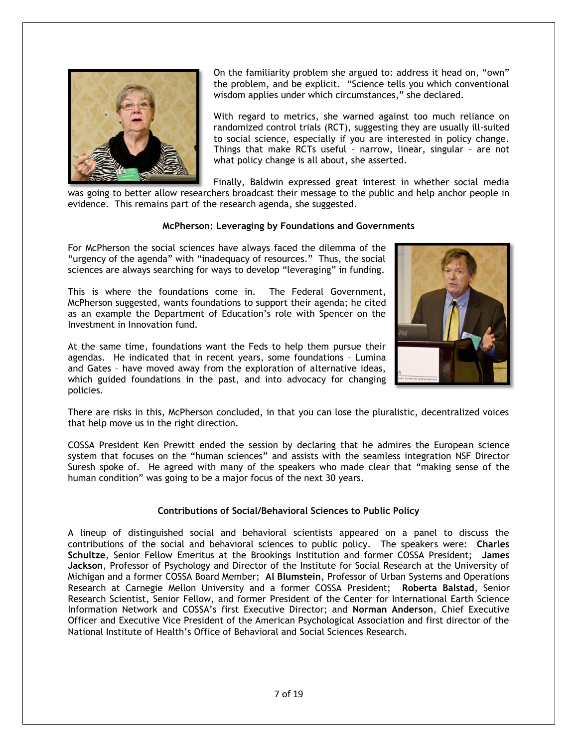

On the familiarity problem she argued to: address it head on, "own" the problem, and be explicit. "Science tells you which conventional wisdom applies under which circumstances," she declared.

With regard to metrics, she warned against too much reliance on randomized control trials (RCT), suggesting they are usually ill-suited to social science, especially if you are interested in policy change. Things that make RCTs useful – narrow, linear, singular – are not what policy change is all about, she asserted.

Finally, Baldwin expressed great interest in whether social media was going to better allow researchers broadcast their message to the public and help anchor people in evidence. This remains part of the research agenda, she suggested.

# **McPherson: Leveraging by Foundations and Governments**

For McPherson the social sciences have always faced the dilemma of the "urgency of the agenda" with "inadequacy of resources." Thus, the social sciences are always searching for ways to develop "leveraging" in funding.

This is where the foundations come in. The Federal Government, McPherson suggested, wants foundations to support their agenda; he cited as an example the Department of Education's role with Spencer on the Investment in Innovation fund.

At the same time, foundations want the Feds to help them pursue their agendas. He indicated that in recent years, some foundations – Lumina and Gates – have moved away from the exploration of alternative ideas, which guided foundations in the past, and into advocacy for changing policies.



There are risks in this, McPherson concluded, in that you can lose the pluralistic, decentralized voices that help move us in the right direction.

COSSA President Ken Prewitt ended the session by declaring that he admires the European science system that focuses on the "human sciences" and assists with the seamless integration NSF Director Suresh spoke of. He agreed with many of the speakers who made clear that "making sense of the human condition" was going to be a major focus of the next 30 years.

### **Contributions of Social/Behavioral Sciences to Public Policy**

A lineup of distinguished social and behavioral scientists appeared on a panel to discuss the contributions of the social and behavioral sciences to public policy. The speakers were: **Charles Schultze**, Senior Fellow Emeritus at the Brookings Institution and former COSSA President; **James Jackson**, Professor of Psychology and Director of the Institute for Social Research at the University of Michigan and a former COSSA Board Member; **Al Blumstein**, Professor of Urban Systems and Operations Research at Carnegie Mellon University and a former COSSA President; **Roberta Balstad**, Senior Research Scientist, Senior Fellow, and former President of the Center for International Earth Science Information Network and COSSA's first Executive Director; and **Norman Anderson**, Chief Executive Officer and Executive Vice President of the American Psychological Association and first director of the National Institute of Health's Office of Behavioral and Social Sciences Research.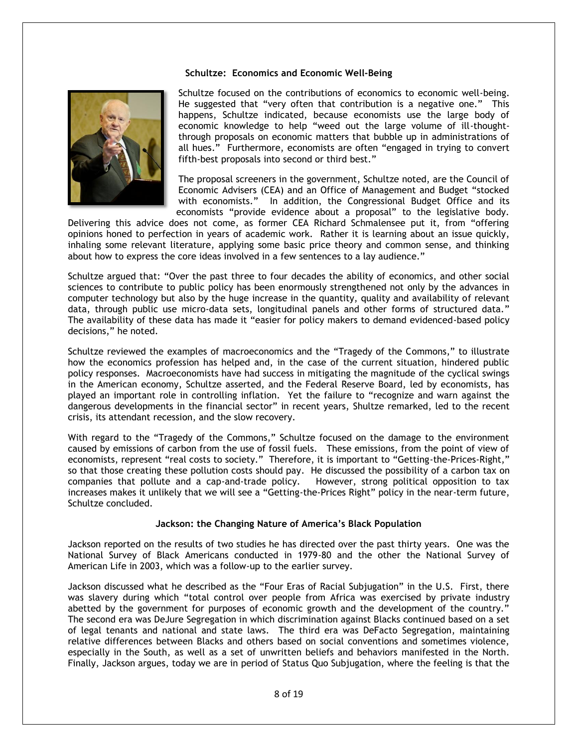### **Schultze: Economics and Economic Well-Being**



Schultze focused on the contributions of economics to economic well-being. He suggested that "very often that contribution is a negative one." This happens, Schultze indicated, because economists use the large body of economic knowledge to help "weed out the large volume of ill-thoughtthrough proposals on economic matters that bubble up in administrations of all hues." Furthermore, economists are often "engaged in trying to convert fifth-best proposals into second or third best."

The proposal screeners in the government, Schultze noted, are the Council of Economic Advisers (CEA) and an Office of Management and Budget "stocked with economists." In addition, the Congressional Budget Office and its economists "provide evidence about a proposal" to the legislative body.

Delivering this advice does not come, as former CEA Richard Schmalensee put it, from "offering opinions honed to perfection in years of academic work. Rather it is learning about an issue quickly, inhaling some relevant literature, applying some basic price theory and common sense, and thinking about how to express the core ideas involved in a few sentences to a lay audience."

Schultze argued that: "Over the past three to four decades the ability of economics, and other social sciences to contribute to public policy has been enormously strengthened not only by the advances in computer technology but also by the huge increase in the quantity, quality and availability of relevant data, through public use micro-data sets, longitudinal panels and other forms of structured data." The availability of these data has made it "easier for policy makers to demand evidenced-based policy decisions," he noted.

Schultze reviewed the examples of macroeconomics and the "Tragedy of the Commons," to illustrate how the economics profession has helped and, in the case of the current situation, hindered public policy responses. Macroeconomists have had success in mitigating the magnitude of the cyclical swings in the American economy, Schultze asserted, and the Federal Reserve Board, led by economists, has played an important role in controlling inflation. Yet the failure to "recognize and warn against the dangerous developments in the financial sector" in recent years, Shultze remarked, led to the recent crisis, its attendant recession, and the slow recovery.

With regard to the "Tragedy of the Commons," Schultze focused on the damage to the environment caused by emissions of carbon from the use of fossil fuels. These emissions, from the point of view of economists, represent "real costs to society." Therefore, it is important to "Getting-the-Prices-Right," so that those creating these pollution costs should pay. He discussed the possibility of a carbon tax on companies that pollute and a cap-and-trade policy. However, strong political opposition to tax increases makes it unlikely that we will see a "Getting-the-Prices Right" policy in the near-term future, Schultze concluded.

#### **Jackson: the Changing Nature of America's Black Population**

Jackson reported on the results of two studies he has directed over the past thirty years. One was the National Survey of Black Americans conducted in 1979-80 and the other the National Survey of American Life in 2003, which was a follow-up to the earlier survey.

Jackson discussed what he described as the "Four Eras of Racial Subjugation" in the U.S. First, there was slavery during which "total control over people from Africa was exercised by private industry abetted by the government for purposes of economic growth and the development of the country." The second era was DeJure Segregation in which discrimination against Blacks continued based on a set of legal tenants and national and state laws. The third era was DeFacto Segregation, maintaining relative differences between Blacks and others based on social conventions and sometimes violence, especially in the South, as well as a set of unwritten beliefs and behaviors manifested in the North. Finally, Jackson argues, today we are in period of Status Quo Subjugation, where the feeling is that the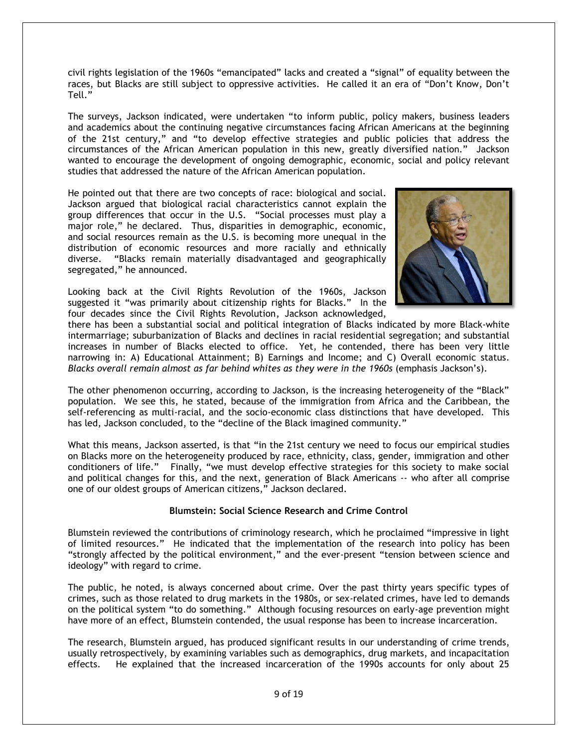civil rights legislation of the 1960s "emancipated" lacks and created a "signal" of equality between the races, but Blacks are still subject to oppressive activities. He called it an era of "Don't Know, Don't Tell."

The surveys, Jackson indicated, were undertaken "to inform public, policy makers, business leaders and academics about the continuing negative circumstances facing African Americans at the beginning of the 21st century," and "to develop effective strategies and public policies that address the circumstances of the African American population in this new, greatly diversified nation.‖ Jackson wanted to encourage the development of ongoing demographic, economic, social and policy relevant studies that addressed the nature of the African American population.

He pointed out that there are two concepts of race: biological and social. Jackson argued that biological racial characteristics cannot explain the group differences that occur in the U.S. "Social processes must play a major role," he declared. Thus, disparities in demographic, economic, and social resources remain as the U.S. is becoming more unequal in the distribution of economic resources and more racially and ethnically diverse. "Blacks remain materially disadvantaged and geographically segregated," he announced.

Looking back at the Civil Rights Revolution of the 1960s, Jackson suggested it "was primarily about citizenship rights for Blacks." In the four decades since the Civil Rights Revolution, Jackson acknowledged,



there has been a substantial social and political integration of Blacks indicated by more Black-white intermarriage; suburbanization of Blacks and declines in racial residential segregation; and substantial increases in number of Blacks elected to office. Yet, he contended, there has been very little narrowing in: A) Educational Attainment; B) Earnings and Income; and C) Overall economic status. *Blacks overall remain almost as far behind whites as they were in the 1960s* (emphasis Jackson's).

The other phenomenon occurring, according to Jackson, is the increasing heterogeneity of the "Black" population. We see this, he stated, because of the immigration from Africa and the Caribbean, the self-referencing as multi-racial, and the socio-economic class distinctions that have developed. This has led, Jackson concluded, to the "decline of the Black imagined community."

What this means, Jackson asserted, is that "in the 21st century we need to focus our empirical studies on Blacks more on the heterogeneity produced by race, ethnicity, class, gender, immigration and other conditioners of life." Finally, "we must develop effective strategies for this society to make social and political changes for this, and the next, generation of Black Americans -- who after all comprise one of our oldest groups of American citizens," Jackson declared.

# **Blumstein: Social Science Research and Crime Control**

Blumstein reviewed the contributions of criminology research, which he proclaimed "impressive in light of limited resources." He indicated that the implementation of the research into policy has been "strongly affected by the political environment," and the ever-present "tension between science and ideology" with regard to crime.

The public, he noted, is always concerned about crime. Over the past thirty years specific types of crimes, such as those related to drug markets in the 1980s, or sex-related crimes, have led to demands on the political system "to do something." Although focusing resources on early-age prevention might have more of an effect, Blumstein contended, the usual response has been to increase incarceration.

The research, Blumstein argued, has produced significant results in our understanding of crime trends, usually retrospectively, by examining variables such as demographics, drug markets, and incapacitation effects. He explained that the increased incarceration of the 1990s accounts for only about 25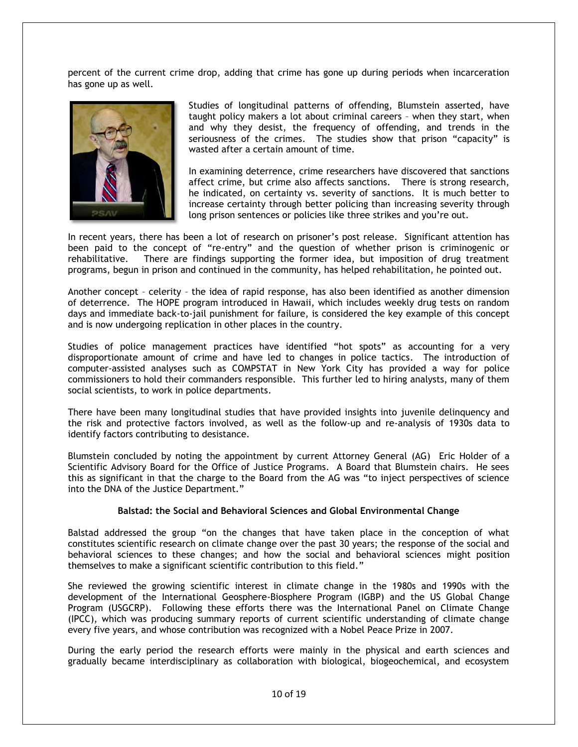percent of the current crime drop, adding that crime has gone up during periods when incarceration has gone up as well.



Studies of longitudinal patterns of offending, Blumstein asserted, have taught policy makers a lot about criminal careers – when they start, when and why they desist, the frequency of offending, and trends in the seriousness of the crimes. The studies show that prison "capacity" is wasted after a certain amount of time.

In examining deterrence, crime researchers have discovered that sanctions affect crime, but crime also affects sanctions. There is strong research, he indicated, on certainty vs. severity of sanctions. It is much better to increase certainty through better policing than increasing severity through long prison sentences or policies like three strikes and you're out.

In recent years, there has been a lot of research on prisoner's post release. Significant attention has been paid to the concept of "re-entry" and the question of whether prison is criminogenic or rehabilitative. There are findings supporting the former idea, but imposition of drug treatment programs, begun in prison and continued in the community, has helped rehabilitation, he pointed out.

Another concept – celerity – the idea of rapid response, has also been identified as another dimension of deterrence. The HOPE program introduced in Hawaii, which includes weekly drug tests on random days and immediate back-to-jail punishment for failure, is considered the key example of this concept and is now undergoing replication in other places in the country.

Studies of police management practices have identified "hot spots" as accounting for a very disproportionate amount of crime and have led to changes in police tactics. The introduction of computer-assisted analyses such as COMPSTAT in New York City has provided a way for police commissioners to hold their commanders responsible. This further led to hiring analysts, many of them social scientists, to work in police departments.

There have been many longitudinal studies that have provided insights into juvenile delinquency and the risk and protective factors involved, as well as the follow-up and re-analysis of 1930s data to identify factors contributing to desistance.

Blumstein concluded by noting the appointment by current Attorney General (AG) Eric Holder of a Scientific Advisory Board for the Office of Justice Programs. A Board that Blumstein chairs. He sees this as significant in that the charge to the Board from the AG was "to inject perspectives of science into the DNA of the Justice Department."

### **Balstad: the Social and Behavioral Sciences and Global Environmental Change**

Balstad addressed the group "on the changes that have taken place in the conception of what constitutes scientific research on climate change over the past 30 years; the response of the social and behavioral sciences to these changes; and how the social and behavioral sciences might position themselves to make a significant scientific contribution to this field."

She reviewed the growing scientific interest in climate change in the 1980s and 1990s with the development of the International Geosphere-Biosphere Program (IGBP) and the US Global Change Program (USGCRP). Following these efforts there was the International Panel on Climate Change (IPCC), which was producing summary reports of current scientific understanding of climate change every five years, and whose contribution was recognized with a Nobel Peace Prize in 2007.

During the early period the research efforts were mainly in the physical and earth sciences and gradually became interdisciplinary as collaboration with biological, biogeochemical, and ecosystem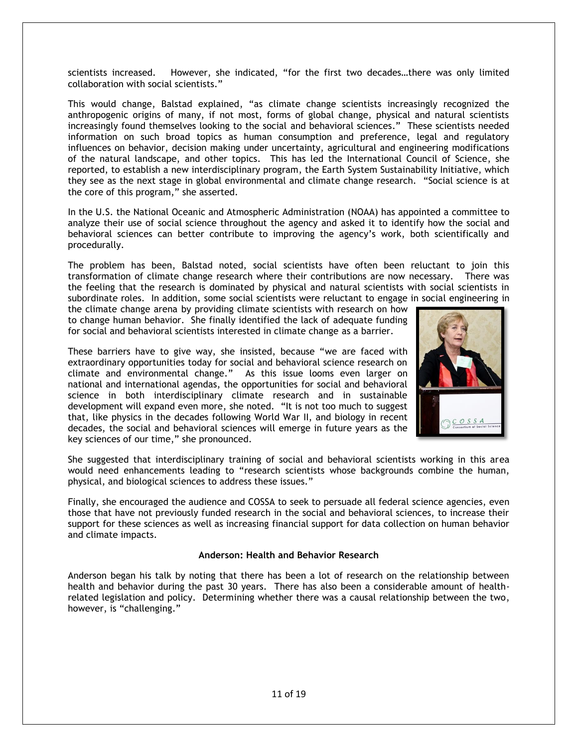scientists increased. However, she indicated, "for the first two decades...there was only limited collaboration with social scientists."

This would change, Balstad explained, "as climate change scientists increasingly recognized the anthropogenic origins of many, if not most, forms of global change, physical and natural scientists increasingly found themselves looking to the social and behavioral sciences." These scientists needed information on such broad topics as human consumption and preference, legal and regulatory influences on behavior, decision making under uncertainty, agricultural and engineering modifications of the natural landscape, and other topics. This has led the International Council of Science, she reported, to establish a new interdisciplinary program, the Earth System Sustainability Initiative, which they see as the next stage in global environmental and climate change research. "Social science is at the core of this program," she asserted.

In the U.S. the National Oceanic and Atmospheric Administration (NOAA) has appointed a committee to analyze their use of social science throughout the agency and asked it to identify how the social and behavioral sciences can better contribute to improving the agency's work, both scientifically and procedurally.

The problem has been, Balstad noted, social scientists have often been reluctant to join this transformation of climate change research where their contributions are now necessary. There was the feeling that the research is dominated by physical and natural scientists with social scientists in subordinate roles. In addition, some social scientists were reluctant to engage in social engineering in

the climate change arena by providing climate scientists with research on how to change human behavior. She finally identified the lack of adequate funding for social and behavioral scientists interested in climate change as a barrier.

These barriers have to give way, she insisted, because "we are faced with extraordinary opportunities today for social and behavioral science research on climate and environmental change." As this issue looms even larger on national and international agendas, the opportunities for social and behavioral science in both interdisciplinary climate research and in sustainable development will expand even more, she noted. "It is not too much to suggest that, like physics in the decades following World War II, and biology in recent decades, the social and behavioral sciences will emerge in future years as the key sciences of our time," she pronounced.



She suggested that interdisciplinary training of social and behavioral scientists working in this area would need enhancements leading to "research scientists whose backgrounds combine the human, physical, and biological sciences to address these issues."

Finally, she encouraged the audience and COSSA to seek to persuade all federal science agencies, even those that have not previously funded research in the social and behavioral sciences, to increase their support for these sciences as well as increasing financial support for data collection on human behavior and climate impacts.

### **Anderson: Health and Behavior Research**

Anderson began his talk by noting that there has been a lot of research on the relationship between health and behavior during the past 30 years. There has also been a considerable amount of healthrelated legislation and policy. Determining whether there was a causal relationship between the two, however, is "challenging."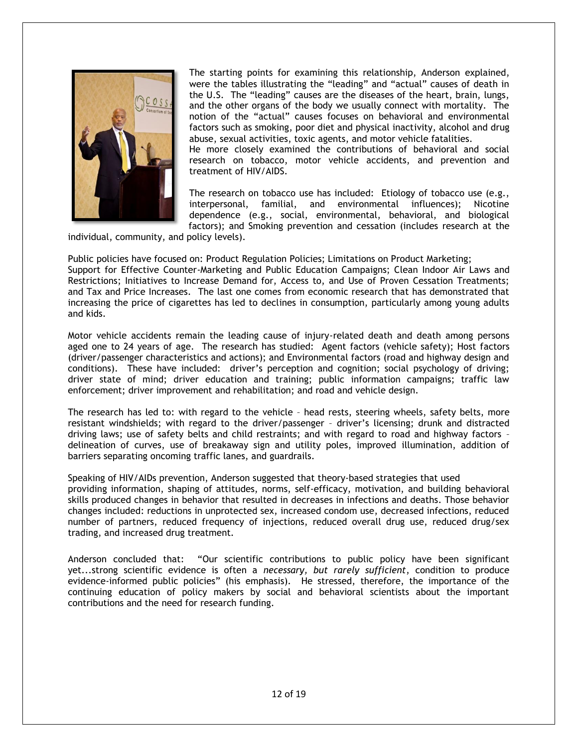

The starting points for examining this relationship, Anderson explained, were the tables illustrating the "leading" and "actual" causes of death in the U.S. The "leading" causes are the diseases of the heart, brain, lungs, and the other organs of the body we usually connect with mortality. The notion of the "actual" causes focuses on behavioral and environmental factors such as smoking, poor diet and physical inactivity, alcohol and drug abuse, sexual activities, toxic agents, and motor vehicle fatalities.

He more closely examined the contributions of behavioral and social research on tobacco, motor vehicle accidents, and prevention and treatment of HIV/AIDS.

The research on tobacco use has included: Etiology of tobacco use (e.g., interpersonal, familial, and environmental influences); Nicotine dependence (e.g., social, environmental, behavioral, and biological factors); and Smoking prevention and cessation (includes research at the

individual, community, and policy levels).

Public policies have focused on: Product Regulation Policies; Limitations on Product Marketing; Support for Effective Counter-Marketing and Public Education Campaigns; Clean Indoor Air Laws and Restrictions; Initiatives to Increase Demand for, Access to, and Use of Proven Cessation Treatments; and Tax and Price Increases. The last one comes from economic research that has demonstrated that increasing the price of cigarettes has led to declines in consumption, particularly among young adults and kids.

Motor vehicle accidents remain the leading cause of injury-related death and death among persons aged one to 24 years of age. The research has studied: Agent factors (vehicle safety); Host factors (driver/passenger characteristics and actions); and Environmental factors (road and highway design and conditions). These have included: driver's perception and cognition; social psychology of driving; driver state of mind; driver education and training; public information campaigns; traffic law enforcement; driver improvement and rehabilitation; and road and vehicle design.

The research has led to: with regard to the vehicle – head rests, steering wheels, safety belts, more resistant windshields; with regard to the driver/passenger – driver's licensing; drunk and distracted driving laws; use of safety belts and child restraints; and with regard to road and highway factors – delineation of curves, use of breakaway sign and utility poles, improved illumination, addition of barriers separating oncoming traffic lanes, and guardrails.

Speaking of HIV/AIDs prevention, Anderson suggested that theory-based strategies that used providing information, shaping of attitudes, norms, self-efficacy, motivation, and building behavioral skills produced changes in behavior that resulted in decreases in infections and deaths. Those behavior changes included: reductions in unprotected sex, increased condom use, decreased infections, reduced number of partners, reduced frequency of injections, reduced overall drug use, reduced drug/sex trading, and increased drug treatment.

Anderson concluded that: "Our scientific contributions to public policy have been significant yet...strong scientific evidence is often a *necessary, but rarely sufficient*, condition to produce evidence-informed public policies" (his emphasis). He stressed, therefore, the importance of the continuing education of policy makers by social and behavioral scientists about the important contributions and the need for research funding.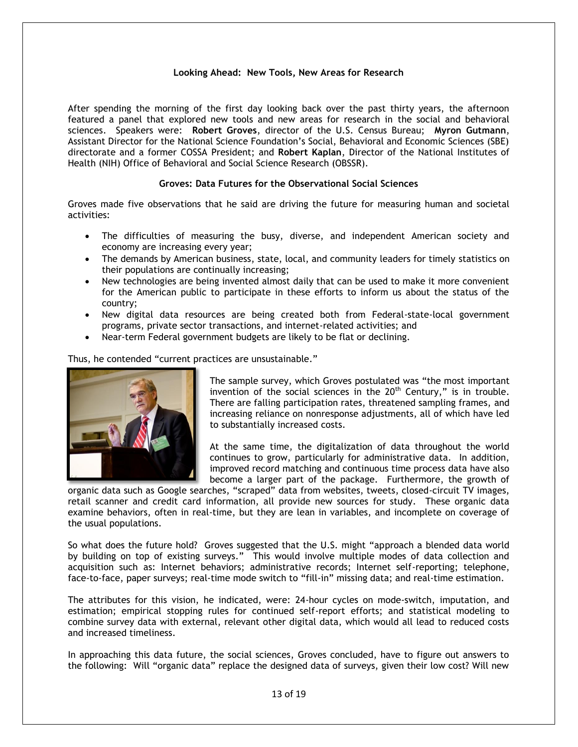# **Looking Ahead: New Tools, New Areas for Research**

After spending the morning of the first day looking back over the past thirty years, the afternoon featured a panel that explored new tools and new areas for research in the social and behavioral sciences. Speakers were: **Robert Groves**, director of the U.S. Census Bureau; **Myron Gutmann**, Assistant Director for the National Science Foundation's Social, Behavioral and Economic Sciences (SBE) directorate and a former COSSA President; and **Robert Kaplan**, Director of the National Institutes of Health (NIH) Office of Behavioral and Social Science Research (OBSSR).

# **Groves: Data Futures for the Observational Social Sciences**

Groves made five observations that he said are driving the future for measuring human and societal activities:

- The difficulties of measuring the busy, diverse, and independent American society and economy are increasing every year;
- The demands by American business, state, local, and community leaders for timely statistics on their populations are continually increasing;
- New technologies are being invented almost daily that can be used to make it more convenient for the American public to participate in these efforts to inform us about the status of the country;
- New digital data resources are being created both from Federal-state-local government programs, private sector transactions, and internet-related activities; and
- Near-term Federal government budgets are likely to be flat or declining.

Thus, he contended "current practices are unsustainable."



The sample survey, which Groves postulated was "the most important invention of the social sciences in the  $20<sup>th</sup>$  Century," is in trouble. There are falling participation rates, threatened sampling frames, and increasing reliance on nonresponse adjustments, all of which have led to substantially increased costs.

At the same time, the digitalization of data throughout the world continues to grow, particularly for administrative data. In addition, improved record matching and continuous time process data have also become a larger part of the package. Furthermore, the growth of

organic data such as Google searches, "scraped" data from websites, tweets, closed-circuit TV images, retail scanner and credit card information, all provide new sources for study. These organic data examine behaviors, often in real-time, but they are lean in variables, and incomplete on coverage of the usual populations.

So what does the future hold? Groves suggested that the U.S. might "approach a blended data world by building on top of existing surveys." This would involve multiple modes of data collection and acquisition such as: Internet behaviors; administrative records; Internet self-reporting; telephone, face-to-face, paper surveys; real-time mode switch to "fill-in" missing data; and real-time estimation.

The attributes for this vision, he indicated, were: 24-hour cycles on mode-switch, imputation, and estimation; empirical stopping rules for continued self-report efforts; and statistical modeling to combine survey data with external, relevant other digital data, which would all lead to reduced costs and increased timeliness.

In approaching this data future, the social sciences, Groves concluded, have to figure out answers to the following: Will "organic data" replace the designed data of surveys, given their low cost? Will new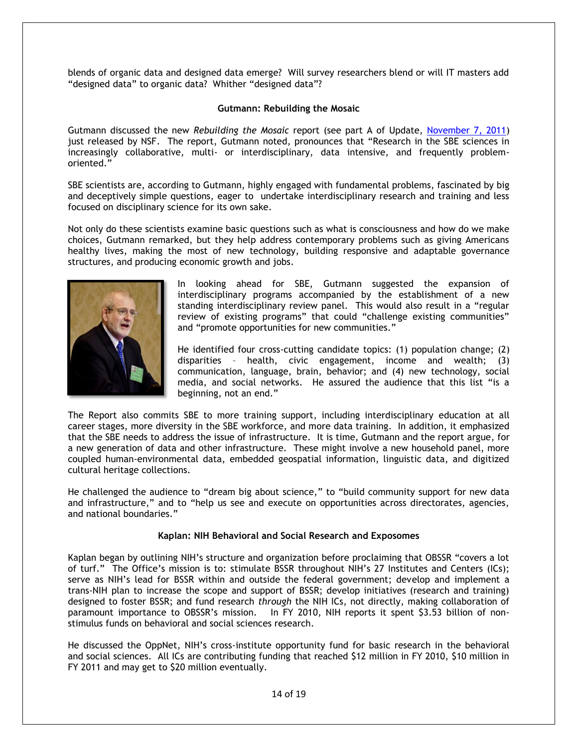blends of organic data and designed data emerge? Will survey researchers blend or will IT masters add "designed data" to organic data? Whither "designed data"?

# **Gutmann: Rebuilding the Mosaic**

Gutmann discussed the new *Rebuilding the Mosaic* report (see part A of Update, November 7, 2011) just released by NSF. The report, Gutmann noted, pronounces that "Research in the SBE sciences in increasingly collaborative, multi- or interdisciplinary, data intensive, and frequently problemoriented.‖

SBE scientists are, according to Gutmann, highly engaged with fundamental problems, fascinated by big and deceptively simple questions, eager to undertake interdisciplinary research and training and less focused on disciplinary science for its own sake.

Not only do these scientists examine basic questions such as what is consciousness and how do we make choices, Gutmann remarked, but they help address contemporary problems such as giving Americans healthy lives, making the most of new technology, building responsive and adaptable governance structures, and producing economic growth and jobs.



In looking ahead for SBE, Gutmann suggested the expansion of interdisciplinary programs accompanied by the establishment of a new standing interdisciplinary review panel. This would also result in a "regular review of existing programs" that could "challenge existing communities" and "promote opportunities for new communities."

He identified four cross-cutting candidate topics: (1) population change; (2) disparities – health, civic engagement, income and wealth; (3) communication, language, brain, behavior; and (4) new technology, social media, and social networks. He assured the audience that this list "is a beginning, not an end."

The Report also commits SBE to more training support, including interdisciplinary education at all career stages, more diversity in the SBE workforce, and more data training. In addition, it emphasized that the SBE needs to address the issue of infrastructure. It is time, Gutmann and the report argue, for a new generation of data and other infrastructure. These might involve a new household panel, more coupled human-environmental data, embedded geospatial information, linguistic data, and digitized cultural heritage collections.

He challenged the audience to "dream big about science," to "build community support for new data and infrastructure," and to "help us see and execute on opportunities across directorates, agencies, and national boundaries."

### **Kaplan: NIH Behavioral and Social Research and Exposomes**

Kaplan began by outlining NIH's structure and organization before proclaiming that OBSSR "covers a lot of turf." The Office's mission is to: stimulate BSSR throughout NIH's 27 Institutes and Centers (ICs); serve as NIH's lead for BSSR within and outside the federal government; develop and implement a trans-NIH plan to increase the scope and support of BSSR; develop initiatives (research and training) designed to foster BSSR; and fund research *through* the NIH ICs, not directly, making collaboration of paramount importance to OBSSR's mission. In FY 2010, NIH reports it spent \$3.53 billion of nonstimulus funds on behavioral and social sciences research.

He discussed the OppNet, NIH's cross-institute opportunity fund for basic research in the behavioral and social sciences. All ICs are contributing funding that reached \$12 million in FY 2010, \$10 million in FY 2011 and may get to \$20 million eventually.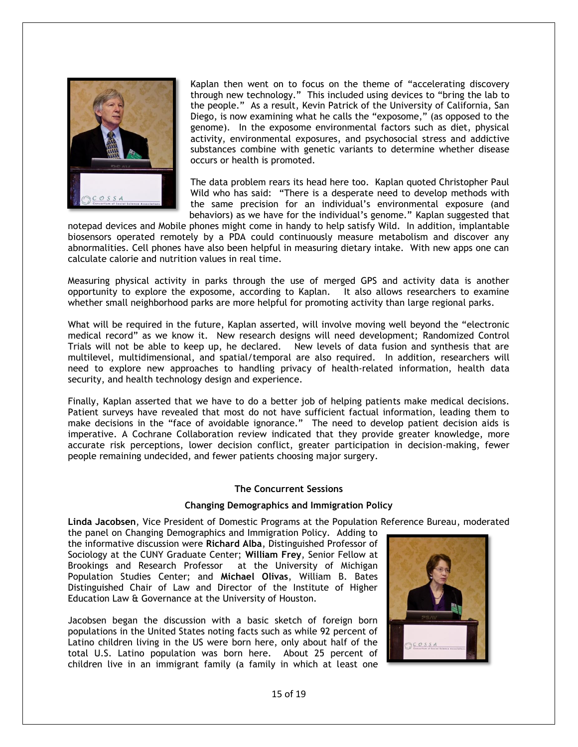

Kaplan then went on to focus on the theme of "accelerating discovery through new technology." This included using devices to "bring the lab to the people." As a result, Kevin Patrick of the University of California, San Diego, is now examining what he calls the "exposome," (as opposed to the genome). In the exposome environmental factors such as diet, physical activity, environmental exposures, and psychosocial stress and addictive substances combine with genetic variants to determine whether disease occurs or health is promoted.

The data problem rears its head here too. Kaplan quoted Christopher Paul Wild who has said: "There is a desperate need to develop methods with the same precision for an individual's environmental exposure (and behaviors) as we have for the individual's genome." Kaplan suggested that

notepad devices and Mobile phones might come in handy to help satisfy Wild. In addition, implantable biosensors operated remotely by a PDA could continuously measure metabolism and discover any abnormalities. Cell phones have also been helpful in measuring dietary intake. With new apps one can calculate calorie and nutrition values in real time.

Measuring physical activity in parks through the use of merged GPS and activity data is another opportunity to explore the exposome, according to Kaplan. It also allows researchers to examine whether small neighborhood parks are more helpful for promoting activity than large regional parks.

What will be required in the future, Kaplan asserted, will involve moving well beyond the "electronic medical record‖ as we know it. New research designs will need development; Randomized Control Trials will not be able to keep up, he declared. New levels of data fusion and synthesis that are multilevel, multidimensional, and spatial/temporal are also required. In addition, researchers will need to explore new approaches to handling privacy of health-related information, health data security, and health technology design and experience.

Finally, Kaplan asserted that we have to do a better job of helping patients make medical decisions. Patient surveys have revealed that most do not have sufficient factual information, leading them to make decisions in the "face of avoidable ignorance." The need to develop patient decision aids is imperative. A Cochrane Collaboration review indicated that they provide greater knowledge, more accurate risk perceptions, lower decision conflict, greater participation in decision-making, fewer people remaining undecided, and fewer patients choosing major surgery.

### **The Concurrent Sessions**

### **Changing Demographics and Immigration Policy**

**Linda Jacobsen**, Vice President of Domestic Programs at the Population Reference Bureau, moderated

the panel on Changing Demographics and Immigration Policy. Adding to the informative discussion were **Richard Alba**, Distinguished Professor of Sociology at the CUNY Graduate Center; **William Frey**, Senior Fellow at Brookings and Research Professor at the University of Michigan Population Studies Center; and **Michael Olivas**, William B. Bates Distinguished Chair of Law and Director of the Institute of Higher Education Law & Governance at the University of Houston.

Jacobsen began the discussion with a basic sketch of foreign born populations in the United States noting facts such as while 92 percent of Latino children living in the US were born here, only about half of the total U.S. Latino population was born here. About 25 percent of children live in an immigrant family (a family in which at least one

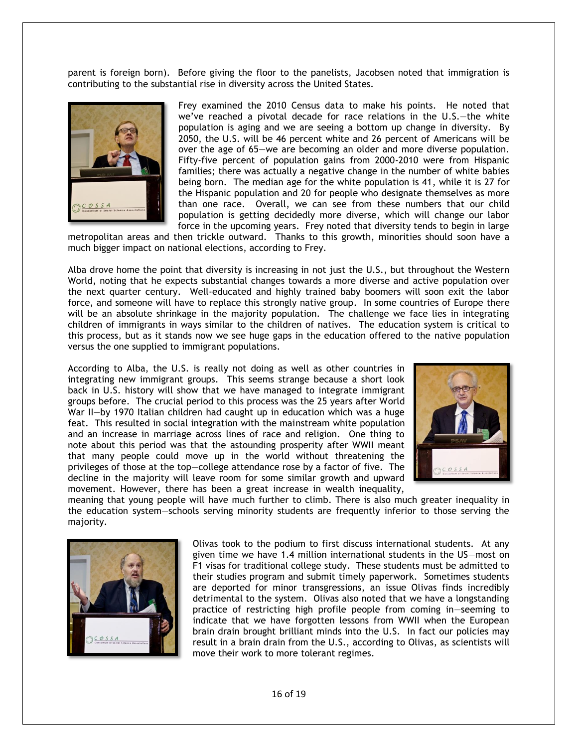parent is foreign born). Before giving the floor to the panelists, Jacobsen noted that immigration is contributing to the substantial rise in diversity across the United States.



Frey examined the 2010 Census data to make his points. He noted that we've reached a pivotal decade for race relations in the U.S.—the white population is aging and we are seeing a bottom up change in diversity. By 2050, the U.S. will be 46 percent white and 26 percent of Americans will be over the age of 65—we are becoming an older and more diverse population. Fifty-five percent of population gains from 2000-2010 were from Hispanic families; there was actually a negative change in the number of white babies being born. The median age for the white population is 41, while it is 27 for the Hispanic population and 20 for people who designate themselves as more than one race. Overall, we can see from these numbers that our child population is getting decidedly more diverse, which will change our labor force in the upcoming years. Frey noted that diversity tends to begin in large

metropolitan areas and then trickle outward. Thanks to this growth, minorities should soon have a much bigger impact on national elections, according to Frey.

Alba drove home the point that diversity is increasing in not just the U.S., but throughout the Western World, noting that he expects substantial changes towards a more diverse and active population over the next quarter century. Well-educated and highly trained baby boomers will soon exit the labor force, and someone will have to replace this strongly native group. In some countries of Europe there will be an absolute shrinkage in the majority population. The challenge we face lies in integrating children of immigrants in ways similar to the children of natives. The education system is critical to this process, but as it stands now we see huge gaps in the education offered to the native population versus the one supplied to immigrant populations.

According to Alba, the U.S. is really not doing as well as other countries in integrating new immigrant groups. This seems strange because a short look back in U.S. history will show that we have managed to integrate immigrant groups before. The crucial period to this process was the 25 years after World War II—by 1970 Italian children had caught up in education which was a huge feat. This resulted in social integration with the mainstream white population and an increase in marriage across lines of race and religion. One thing to note about this period was that the astounding prosperity after WWII meant that many people could move up in the world without threatening the privileges of those at the top—college attendance rose by a factor of five. The decline in the majority will leave room for some similar growth and upward movement. However, there has been a great increase in wealth inequality,



meaning that young people will have much further to climb. There is also much greater inequality in the education system—schools serving minority students are frequently inferior to those serving the majority.



Olivas took to the podium to first discuss international students. At any given time we have 1.4 million international students in the US—most on F1 visas for traditional college study. These students must be admitted to their studies program and submit timely paperwork. Sometimes students are deported for minor transgressions, an issue Olivas finds incredibly detrimental to the system. Olivas also noted that we have a longstanding practice of restricting high profile people from coming in—seeming to indicate that we have forgotten lessons from WWII when the European brain drain brought brilliant minds into the U.S. In fact our policies may result in a brain drain from the U.S., according to Olivas, as scientists will move their work to more tolerant regimes.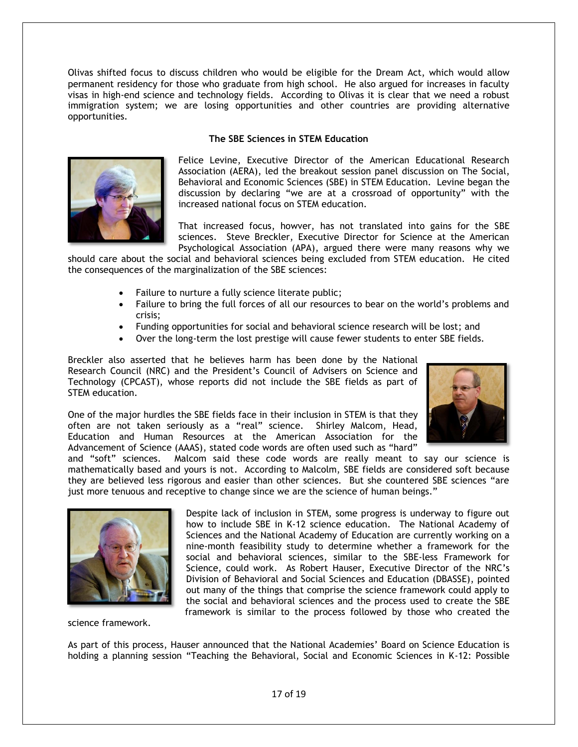Olivas shifted focus to discuss children who would be eligible for the Dream Act, which would allow permanent residency for those who graduate from high school. He also argued for increases in faculty visas in high-end science and technology fields. According to Olivas it is clear that we need a robust immigration system; we are losing opportunities and other countries are providing alternative opportunities.

### **The SBE Sciences in STEM Education**



Felice Levine, Executive Director of the American Educational Research Association (AERA), led the breakout session panel discussion on The Social, Behavioral and Economic Sciences (SBE) in STEM Education. Levine began the discussion by declaring "we are at a crossroad of opportunity" with the increased national focus on STEM education.

That increased focus, howver, has not translated into gains for the SBE sciences. Steve Breckler, Executive Director for Science at the American Psychological Association (APA), argued there were many reasons why we

should care about the social and behavioral sciences being excluded from STEM education. He cited the consequences of the marginalization of the SBE sciences:

- Failure to nurture a fully science literate public;
- Failure to bring the full forces of all our resources to bear on the world's problems and crisis;
- Funding opportunities for social and behavioral science research will be lost; and
- Over the long-term the lost prestige will cause fewer students to enter SBE fields.

Breckler also asserted that he believes harm has been done by the National Research Council (NRC) and the President's Council of Advisers on Science and Technology (CPCAST), whose reports did not include the SBE fields as part of STEM education.

One of the major hurdles the SBE fields face in their inclusion in STEM is that they often are not taken seriously as a "real" science. Shirley Malcom, Head, Education and Human Resources at the American Association for the Advancement of Science (AAAS), stated code words are often used such as "hard"



and "soft" sciences. Malcom said these code words are really meant to say our science is mathematically based and yours is not. According to Malcolm, SBE fields are considered soft because they are believed less rigorous and easier than other sciences. But she countered SBE sciences "are just more tenuous and receptive to change since we are the science of human beings."



Despite lack of inclusion in STEM, some progress is underway to figure out how to include SBE in K-12 science education. The National Academy of Sciences and the National Academy of Education are currently working on a nine-month feasibility study to determine whether a framework for the social and behavioral sciences, similar to the SBE-less Framework for Science, could work. As Robert Hauser, Executive Director of the NRC's Division of Behavioral and Social Sciences and Education (DBASSE), pointed out many of the things that comprise the science framework could apply to the social and behavioral sciences and the process used to create the SBE framework is similar to the process followed by those who created the

science framework.

As part of this process, Hauser announced that the National Academies' Board on Science Education is holding a planning session "Teaching the Behavioral, Social and Economic Sciences in K-12: Possible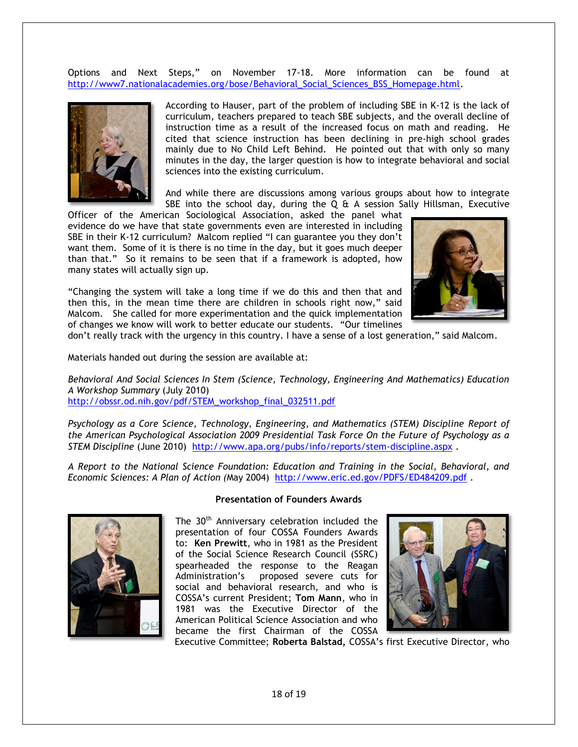Options and Next Steps," on November 17-18. More information can be found at http://www7.nationalacademies.org/bose/Behavioral\_Social\_Sciences\_BSS\_Homepage.html.



According to Hauser, part of the problem of including SBE in K-12 is the lack of curriculum, teachers prepared to teach SBE subjects, and the overall decline of instruction time as a result of the increased focus on math and reading. He cited that science instruction has been declining in pre-high school grades mainly due to No Child Left Behind. He pointed out that with only so many minutes in the day, the larger question is how to integrate behavioral and social sciences into the existing curriculum.

And while there are discussions among various groups about how to integrate SBE into the school day, during the  $Q$  & A session Sally Hillsman, Executive

Officer of the American Sociological Association, asked the panel what evidence do we have that state governments even are interested in including SBE in their K-12 curriculum? Malcom replied "I can guarantee you they don't want them. Some of it is there is no time in the day, but it goes much deeper than that.‖ So it remains to be seen that if a framework is adopted, how many states will actually sign up.

―Changing the system will take a long time if we do this and then that and then this, in the mean time there are children in schools right now," said Malcom. She called for more experimentation and the quick implementation of changes we know will work to better educate our students. "Our timelines



don't really track with the urgency in this country. I have a sense of a lost generation," said Malcom.

Materials handed out during the session are available at:

*Behavioral And Social Sciences In Stem (Science, Technology, Engineering And Mathematics) Education A Workshop Summary* (July 2010) http://obssr.od.nih.gov/pdf/STEM\_workshop\_final\_032511.pdf

*Psychology as a Core Science, Technology, Engineering, and Mathematics (STEM) Discipline Report of the American Psychological Association 2009 Presidential Task Force On the Future of Psychology as a STEM Discipline* (June 2010) http://www.apa.org/pubs/info/reports/stem-discipline.aspx .

*A Report to the National Science Foundation: Education and Training in the Social, Behavioral, and Economic Sciences: A Plan of Action (*May 2004) http://www.eric.ed.gov/PDFS/ED484209.pdf .



### **Presentation of Founders Awards**

The 30<sup>th</sup> Anniversary celebration included the presentation of four COSSA Founders Awards to: **Ken Prewitt**, who in 1981 as the President of the Social Science Research Council (SSRC) spearheaded the response to the Reagan Administration's proposed severe cuts for social and behavioral research, and who is COSSA's current President; **Tom Mann**, who in 1981 was the Executive Director of the American Political Science Association and who became the first Chairman of the COSSA



Executive Committee; **Roberta Balstad,** COSSA's first Executive Director, who